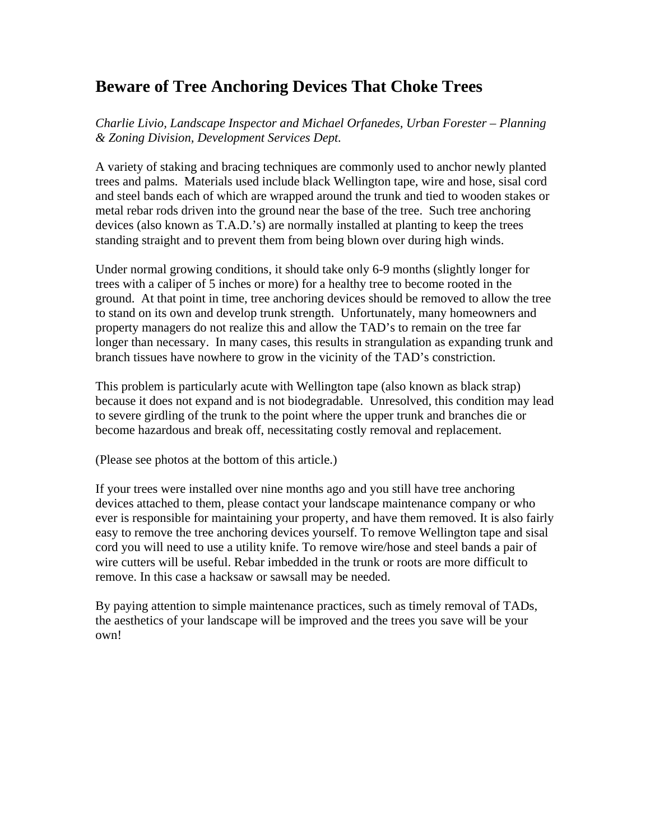## **Beware of Tree Anchoring Devices That Choke Trees**

*Charlie Livio, Landscape Inspector and Michael Orfanedes, Urban Forester – Planning & Zoning Division, Development Services Dept.* 

A variety of staking and bracing techniques are commonly used to anchor newly planted trees and palms. Materials used include black Wellington tape, wire and hose, sisal cord and steel bands each of which are wrapped around the trunk and tied to wooden stakes or metal rebar rods driven into the ground near the base of the tree. Such tree anchoring devices (also known as T.A.D.'s) are normally installed at planting to keep the trees standing straight and to prevent them from being blown over during high winds.

Under normal growing conditions, it should take only 6-9 months (slightly longer for trees with a caliper of 5 inches or more) for a healthy tree to become rooted in the ground. At that point in time, tree anchoring devices should be removed to allow the tree to stand on its own and develop trunk strength. Unfortunately, many homeowners and property managers do not realize this and allow the TAD's to remain on the tree far longer than necessary. In many cases, this results in strangulation as expanding trunk and branch tissues have nowhere to grow in the vicinity of the TAD's constriction.

This problem is particularly acute with Wellington tape (also known as black strap) because it does not expand and is not biodegradable. Unresolved, this condition may lead to severe girdling of the trunk to the point where the upper trunk and branches die or become hazardous and break off, necessitating costly removal and replacement.

(Please see photos at the bottom of this article.)

If your trees were installed over nine months ago and you still have tree anchoring devices attached to them, please contact your landscape maintenance company or who ever is responsible for maintaining your property, and have them removed. It is also fairly easy to remove the tree anchoring devices yourself. To remove Wellington tape and sisal cord you will need to use a utility knife. To remove wire/hose and steel bands a pair of wire cutters will be useful. Rebar imbedded in the trunk or roots are more difficult to remove. In this case a hacksaw or sawsall may be needed.

By paying attention to simple maintenance practices, such as timely removal of TADs, the aesthetics of your landscape will be improved and the trees you save will be your own!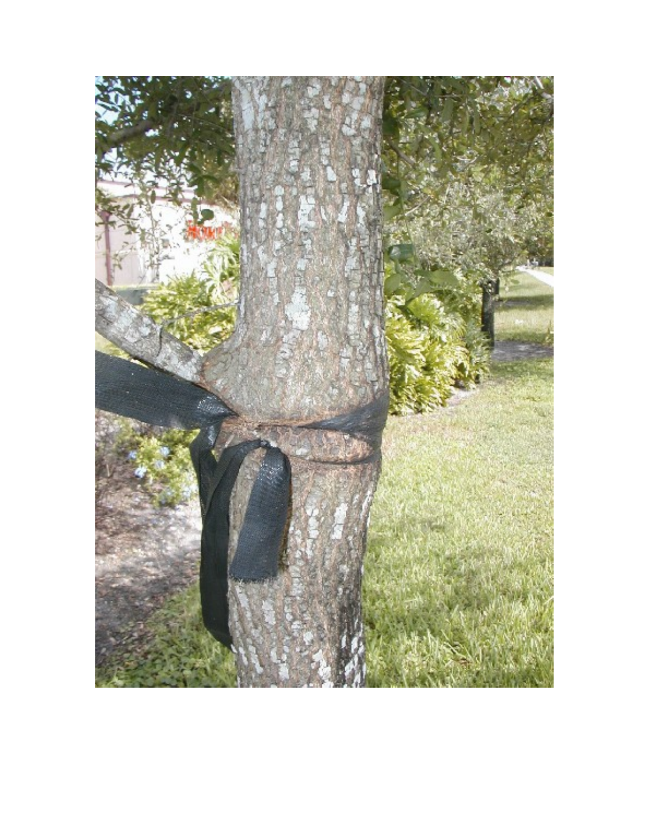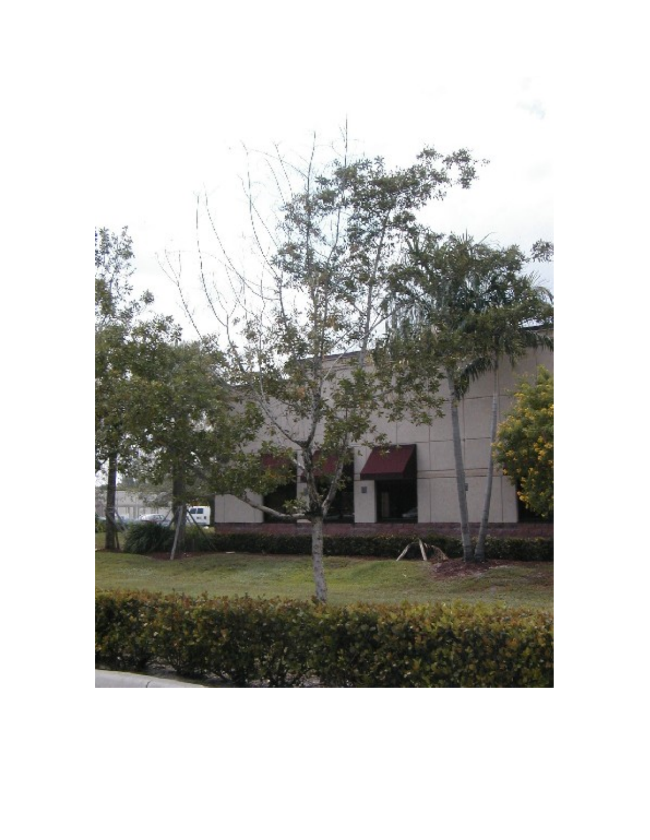